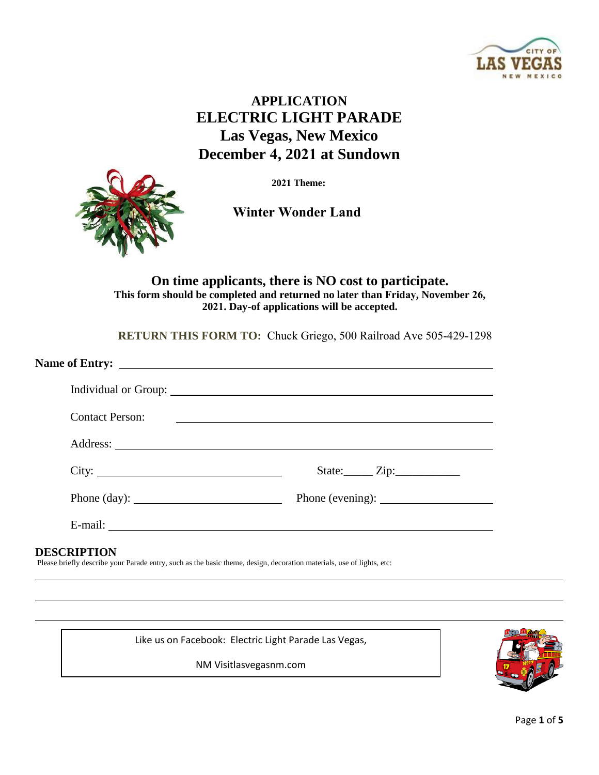

# **APPLICATION ELECTRIC LIGHT PARADE Las Vegas, New Mexico December 4, 2021 at Sundown**



**2021 Theme:**

**Winter Wonder Land**

**On time applicants, there is NO cost to participate. This form should be completed and returned no later than Friday, November 26, 2021. Day-of applications will be accepted.**

**RETURN THIS FORM TO:** Chuck Griego, 500 Railroad Ave 505-429-1298

|                        | Individual or Group: 1988 and 1988 and 1988 and 1988 and 1988 and 1988 and 1988 and 1988 and 1988 and 1988 and 1988 and 1988 and 1988 and 1988 and 1988 and 1988 and 1988 and 1988 and 1988 and 1988 and 1988 and 1988 and 198 |
|------------------------|--------------------------------------------------------------------------------------------------------------------------------------------------------------------------------------------------------------------------------|
| <b>Contact Person:</b> | <u> 1989 - Johann Stein, fransk politiker (d. 1989)</u>                                                                                                                                                                        |
|                        |                                                                                                                                                                                                                                |
| City:                  | State: <u>Zip:</u>                                                                                                                                                                                                             |
| Phone $(\text{day})$ : |                                                                                                                                                                                                                                |
|                        |                                                                                                                                                                                                                                |
| <b>DESCRIPTION</b>     |                                                                                                                                                                                                                                |

Please briefly describe your Parade entry, such as the basic theme, design, decoration materials, use of lights, etc:

Like us on Facebook: Electric Light Parade Las Vegas,

NM Visitlasvegasnm.com

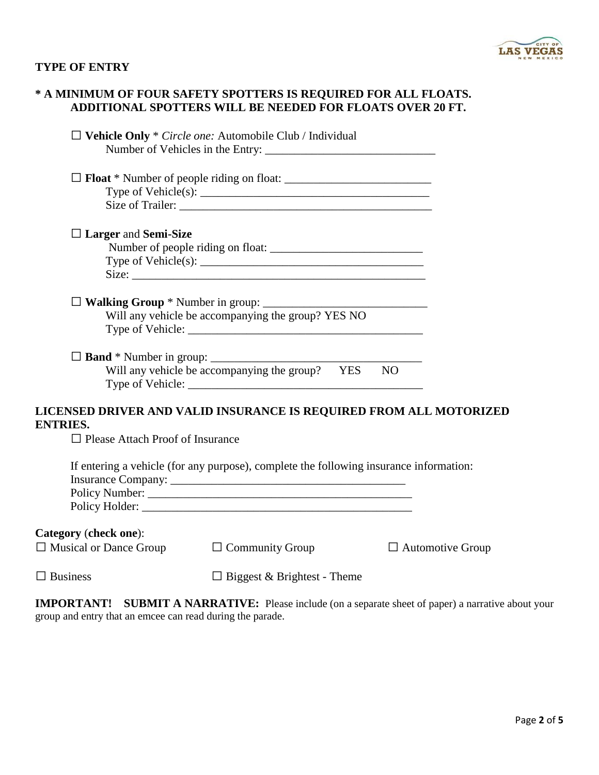

### **TYPE OF ENTRY**

|                                                               | * A MINIMUM OF FOUR SAFETY SPOTTERS IS REQUIRED FOR ALL FLOATS.<br>ADDITIONAL SPOTTERS WILL BE NEEDED FOR FLOATS OVER 20 FT. |                         |
|---------------------------------------------------------------|------------------------------------------------------------------------------------------------------------------------------|-------------------------|
|                                                               | $\Box$ Vehicle Only * <i>Circle one:</i> Automobile Club / Individual                                                        |                         |
|                                                               |                                                                                                                              |                         |
|                                                               |                                                                                                                              |                         |
| $\Box$ Larger and Semi-Size                                   |                                                                                                                              |                         |
|                                                               |                                                                                                                              |                         |
|                                                               | Will any vehicle be accompanying the group? YES NO                                                                           |                         |
|                                                               | Will any vehicle be accompanying the group? YES                                                                              | NO                      |
| <b>ENTRIES.</b><br>$\Box$ Please Attach Proof of Insurance    | LICENSED DRIVER AND VALID INSURANCE IS REQUIRED FROM ALL MOTORIZED                                                           |                         |
|                                                               | If entering a vehicle (for any purpose), complete the following insurance information:                                       |                         |
| <b>Category (check one):</b><br>$\Box$ Musical or Dance Group | $\Box$ Community Group                                                                                                       | $\Box$ Automotive Group |
| $\Box$ Business                                               | $\Box$ Biggest & Brightest - Theme                                                                                           |                         |
|                                                               |                                                                                                                              |                         |

**IMPORTANT! SUBMIT A NARRATIVE:** Please include (on a separate sheet of paper) a narrative about your group and entry that an emcee can read during the parade.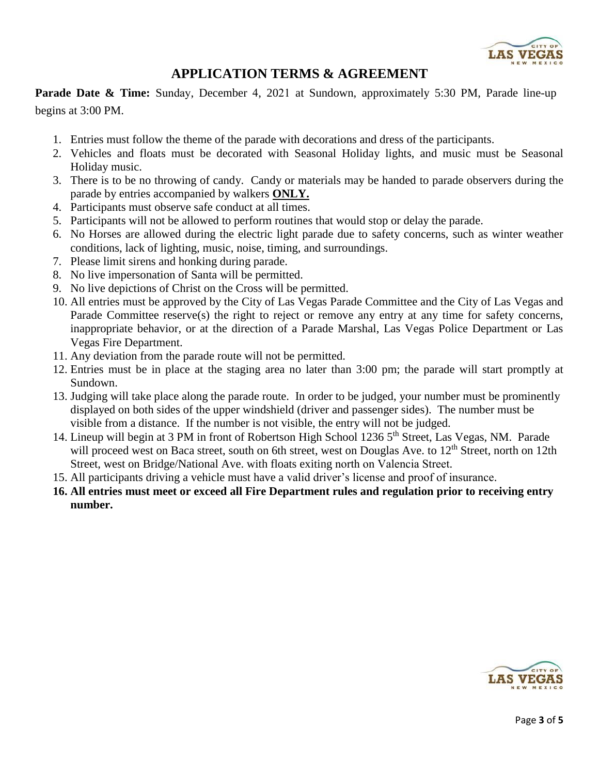

## **APPLICATION TERMS & AGREEMENT**

**Parade Date & Time:** Sunday, December 4, 2021 at Sundown, approximately 5:30 PM, Parade line-up begins at 3:00 PM.

- 1. Entries must follow the theme of the parade with decorations and dress of the participants.
- 2. Vehicles and floats must be decorated with Seasonal Holiday lights, and music must be Seasonal Holiday music.
- 3. There is to be no throwing of candy. Candy or materials may be handed to parade observers during the parade by entries accompanied by walkers **ONLY.**
- 4. Participants must observe safe conduct at all times.
- 5. Participants will not be allowed to perform routines that would stop or delay the parade.
- 6. No Horses are allowed during the electric light parade due to safety concerns, such as winter weather conditions, lack of lighting, music, noise, timing, and surroundings.
- 7. Please limit sirens and honking during parade.
- 8. No live impersonation of Santa will be permitted.
- 9. No live depictions of Christ on the Cross will be permitted.
- 10. All entries must be approved by the City of Las Vegas Parade Committee and the City of Las Vegas and Parade Committee reserve(s) the right to reject or remove any entry at any time for safety concerns, inappropriate behavior, or at the direction of a Parade Marshal, Las Vegas Police Department or Las Vegas Fire Department.
- 11. Any deviation from the parade route will not be permitted.
- 12. Entries must be in place at the staging area no later than 3:00 pm; the parade will start promptly at Sundown.
- 13. Judging will take place along the parade route. In order to be judged, your number must be prominently displayed on both sides of the upper windshield (driver and passenger sides).The number must be visible from a distance. If the number is not visible, the entry will not be judged.
- 14. Lineup will begin at 3 PM in front of Robertson High School 1236 5<sup>th</sup> Street, Las Vegas, NM. Parade will proceed west on Baca street, south on 6th street, west on Douglas Ave. to  $12<sup>th</sup>$  Street, north on 12th Street, west on Bridge/National Ave. with floats exiting north on Valencia Street.
- 15. All participants driving a vehicle must have a valid driver's license and proof of insurance.
- **16. All entries must meet or exceed all Fire Department rules and regulation prior to receiving entry number.**

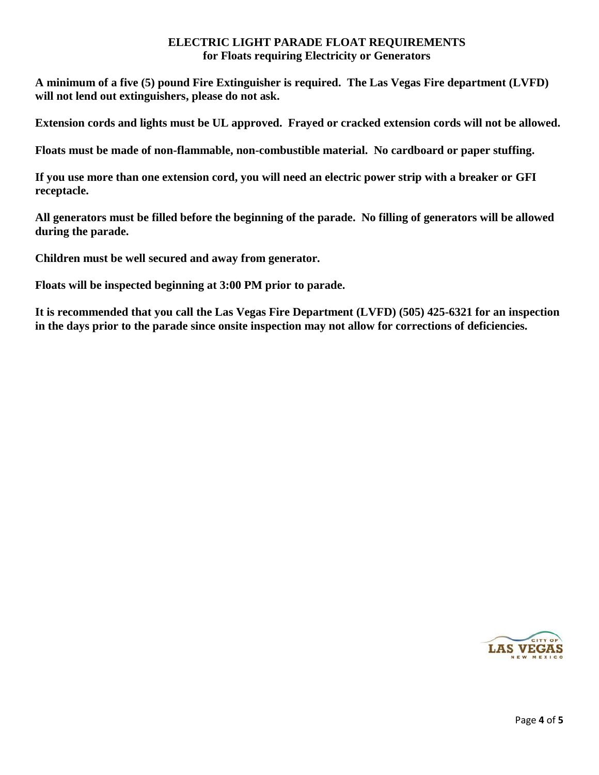#### **ELECTRIC LIGHT PARADE FLOAT REQUIREMENTS for Floats requiring Electricity or Generators**

**A minimum of a five (5) pound Fire Extinguisher is required. The Las Vegas Fire department (LVFD) will not lend out extinguishers, please do not ask.** 

**Extension cords and lights must be UL approved. Frayed or cracked extension cords will not be allowed.** 

**Floats must be made of non-flammable, non-combustible material. No cardboard or paper stuffing.** 

**If you use more than one extension cord, you will need an electric power strip with a breaker or GFI receptacle.** 

**All generators must be filled before the beginning of the parade. No filling of generators will be allowed during the parade.** 

**Children must be well secured and away from generator.** 

**Floats will be inspected beginning at 3:00 PM prior to parade.** 

**It is recommended that you call the Las Vegas Fire Department (LVFD) (505) 425-6321 for an inspection in the days prior to the parade since onsite inspection may not allow for corrections of deficiencies.**